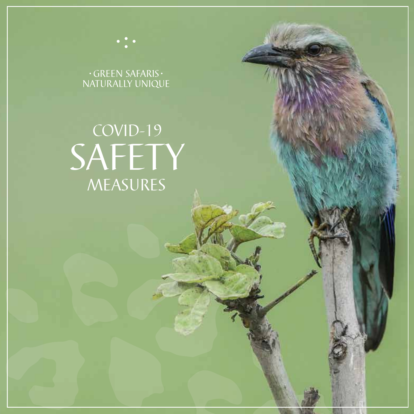# $\cdot$ GREEN SAFARIS $\cdot$ NATURALLY UNIQUE

# COVID-19 SAFETY MEASURES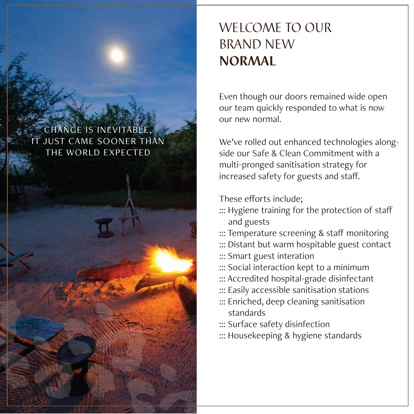#### CHANGE IS INEVITABLE, IT JUST CAME SOONER THAN THE WORLD EXPECTED

# WELCOME TO OUR BRAND NEW NORMAL

Even though our doors remained wide open our team quickly responded to what is now our new normal.

We've rolled out enhanced technologies alongside our Safe & Clean Commitment with a multi-pronged sanitisation strategy for increased safety for guests and staff.

These efforts include;

- ::: Hygiene training for the protection of staff and guests
- ::: Temperature screening & staff monitoring
- ::: Distant but warm hospitable guest contact
- ::: Smart guest interation
- ::: Social interaction kept to a minimum
- ::: Accredited hospital-grade disinfectant
- ::: Easily accessible sanitisation stations
- ::: Enriched, deep cleaning sanitisation standards
- ::: Surface safety disinfection
- ::: Housekeeping & hygiene standards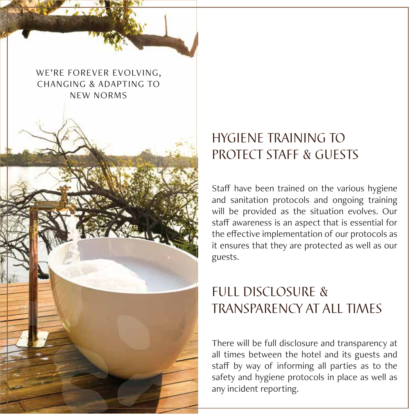WE'RE FOREVER EVOLVING, CHANGING & ADAPTING TO NEW NORMS

## HYGIENE TRAINING TO PROTECT STAFF & GUESTS

Staff have been trained on the various hygiene and sanitation protocols and ongoing training will be provided as the situation evolves. Our staff awareness is an aspect that is essential for the effective implementation of our protocols as it ensures that they are protected as well as our guests.

#### FULLE DISCLOSURE & TRANSPARENCY AT ALL TIMES

There will be full disclosure and transparency at all times between the hotel and its guests and staff by way of informing all parties as to the safety and hygiene protocols in place as well as any incident reporting.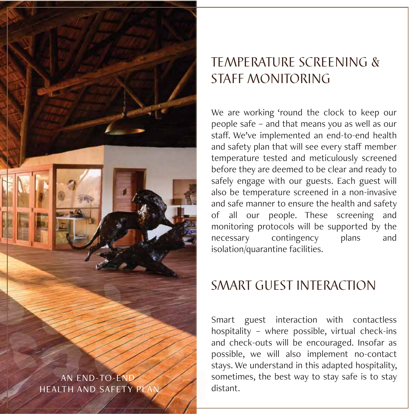

#### TEMPERATURE SCREENING & STAFF MONITORING

We are working 'round the clock to keep our people safe – and that means you as well as our staff. We've implemented an end-to-end health and safety plan that will see every staff member temperature tested and meticulously screened before they are deemed to be clear and ready to safely engage with our guests. Each guest will also be temperature screened in a non-invasive and safe manner to ensure the health and safety of all our people. These screening and monitoring protocols will be supported by the necessary contingency plans and isolation/quarantine facilities.

#### SMART GUEST INTERACTION

Smart guest interaction with contactless hospitality – where possible, virtual check-ins and check-outs will be encouraged. Insofar as possible, we will also implement no-contact stays. We understand in this adapted hospitality, sometimes, the best way to stay safe is to stay distant.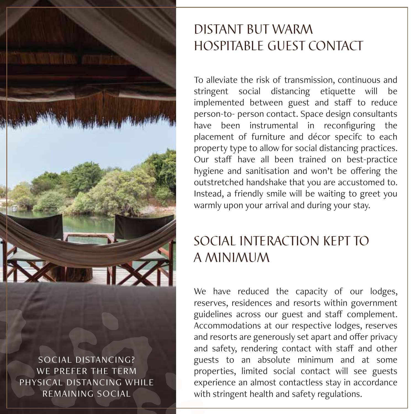

SOCIAL DISTANCING? WE PREFER THE TERM PHYSICAL DISTANCING WHILE REMAINING SOCIAL

#### DISTANT BUT WARM HOSPITABLE GUEST CONTACT

To alleviate the risk of transmission, continuous and stringent social distancing etiquette will be implemented between guest and staff to reduce person-to- person contact. Space design consultants have been instrumental in reconfiguring the placement of furniture and décor specifc to each property type to allow for social distancing practices. Our staff have all been trained on best-practice hygiene and sanitisation and won't be offering the outstretched handshake that you are accustomed to. Instead, a friendly smile will be waiting to greet you warmly upon your arrival and during your stay.

## SOCIAL INTERACTION KEPT TO A MINIMUM

We have reduced the capacity of our lodges, reserves, residences and resorts within government guidelines across our guest and staff complement. Accommodations at our respective lodges, reserves and resorts are generously set apart and offer privacy and safety, rendering contact with staff and other guests to an absolute minimum and at some properties, limited social contact will see guests experience an almost contactless stay in accordance with stringent health and safety regulations.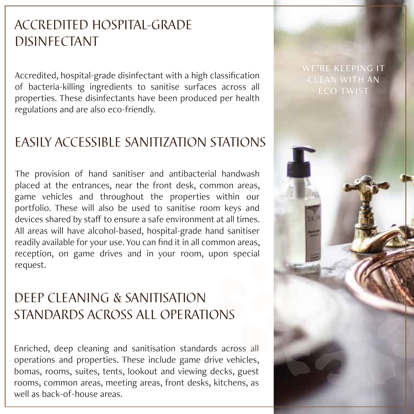## ACCREDITED HOSPITAL-GRADE DISINFECTANT

Accredited, hospital-grade disinfectant with a high classification of bacteria-killing ingredients to sanitise surfaces across all properties. These disinfectants have been produced per health regulations and are also eco-friendly.

#### EASILY ACCESSIBLE SANITIZATION STATIONS

The provision of hand sanitiser and antibacterial handwash placed at the entrances, near the front desk, common areas, game vehicles and throughout the properties within our portfolio. These will also be used to sanitise room keys and devices shared by staff to ensure a safe environment at all times. All areas will have alcohol-based, hospital-grade hand sanitiser readily available for your use. You can find it in all common areas, reception, on game drives and in your room, upon special request.

#### DEEP CLEANING & SANITISATION STANDARDS ACROSS ALL OPERATIONS

Enriched, deep cleaning and sanitisation standards across all operations and properties. These include game drive vehicles, bomas, rooms, suites, tents, lookout and viewing decks, guest rooms, common areas, meeting areas, front desks, kitchens, as well as back-of-house areas.

# WE'RE KEEPING IT CLEAN WITH AN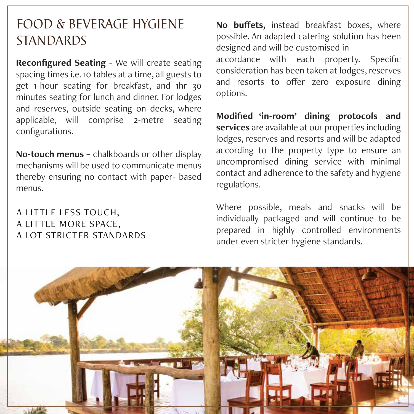#### FOOD & BEVERAGE HYGIENE **STANDARDS**

**Reconfigured Seating -** We will create seating spacing times i.e. 10 tables at a time, all guests to get 1-hour seating for breakfast, and 1hr 30 minutes seating for lunch and dinner. For lodges and reserves, outside seating on decks, where applicable, will comprise 2-metre seating configurations.

**No-touch menus** – chalkboards or other display mechanisms will be used to communicate menus thereby ensuring no contact with paper- based menus.

#### A LITTLE LESS TOUCH, A LITTLE MORE SPACE, A LOT STRICTER STANDARDS

**No buffets,** instead breakfast boxes, where possible. An adapted catering solution has been designed and will be customised in accordance with each property. Specific consideration has been taken at lodges, reserves and resorts to offer zero exposure dining options.

**Modified 'in-room' dining protocols and services** are available at our properties including lodges, reserves and resorts and will be adapted according to the property type to ensure an uncompromised dining service with minimal contact and adherence to the safety and hygiene regulations.

Where possible, meals and snacks will be individually packaged and will continue to be prepared in highly controlled environments under even stricter hygiene standards.

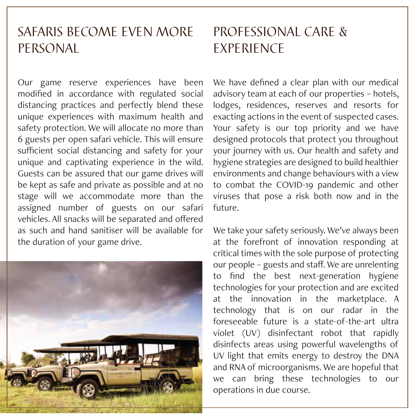#### SAFARIS BECOME EVEN MORE PERSONAL

Our game reserve experiences have been modified in accordance with regulated social distancing practices and perfectly blend these unique experiences with maximum health and safety protection. We will allocate no more than 6 guests per open safari vehicle. This will ensure sufficient social distancing and safety for your unique and captivating experience in the wild. Guests can be assured that our game drives will be kept as safe and private as possible and at no stage will we accommodate more than the assigned number of guests on our safari vehicles. All snacks will be separated and offered as such and hand sanitiser will be available for the duration of your game drive.



## PROFESSIONAL CARE & EXPERIENCE

We have defined a clear plan with our medical advisory team at each of our properties – hotels, lodges, residences, reserves and resorts for exacting actions in the event of suspected cases. Your safety is our top priority and we have designed protocols that protect you throughout your journey with us. Our health and safety and hygiene strategies are designed to build healthier environments and change behaviours with a view to combat the COVID-19 pandemic and other viruses that pose a risk both now and in the future.

We take your safety seriously. We've always been at the forefront of innovation responding at critical times with the sole purpose of protecting our people – guests and staff. We are unrelenting to find the best next-generation hygiene technologies for your protection and are excited at the innovation in the marketplace. A technology that is on our radar in the foreseeable future is a state-of-the-art ultra violet (UV) disinfectant robot that rapidly disinfects areas using powerful wavelengths of UV light that emits energy to destroy the DNA and RNA of microorganisms. We are hopeful that we can bring these technologies to our operations in due course.